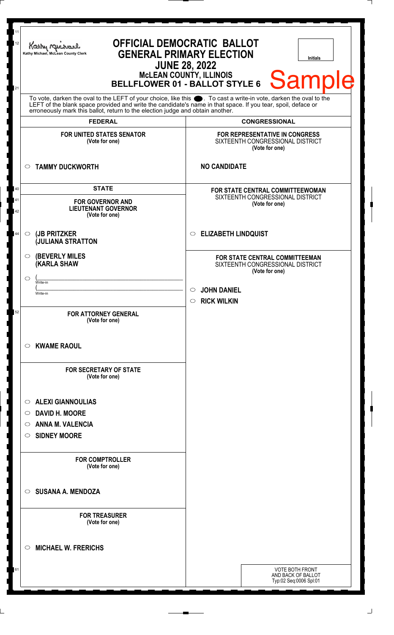| 11<br><b>OFFICIAL DEMOCRATIC BALLOT</b><br>12<br>Kathy Me<br><b>GENERAL PRIMARY ELECTION</b><br>Kathy Michael, McLean County Clerk<br>Initials<br><b>JUNE 28, 2022</b><br><b>MCLEAN COUNTY, ILLINOIS</b><br><b>Sample</b><br>BELLFLOWER 01 - BALLOT STYLE 6<br>21 |                                                                                                                                                                                                                                                                                                                                    |                                                                                                                     |                                                                                      |
|-------------------------------------------------------------------------------------------------------------------------------------------------------------------------------------------------------------------------------------------------------------------|------------------------------------------------------------------------------------------------------------------------------------------------------------------------------------------------------------------------------------------------------------------------------------------------------------------------------------|---------------------------------------------------------------------------------------------------------------------|--------------------------------------------------------------------------------------|
|                                                                                                                                                                                                                                                                   | To vote, darken the oval to the LEFT of your choice, like this ●. To cast a write-in vote, darken the oval to the<br>LEFT of the blank space provided and write the candidate's name in that space. If you tear, spoil, deface or erroneously mark this ballot, return to the election judge and obtain another.<br><b>FEDERAL</b> |                                                                                                                     |                                                                                      |
| <b>FOR UNITED STATES SENATOR</b><br>(Vote for one)                                                                                                                                                                                                                |                                                                                                                                                                                                                                                                                                                                    | <b>CONGRESSIONAL</b><br><b>FOR REPRESENTATIVE IN CONGRESS</b><br>SIXTEENTH CONGRESSIONAL DISTRICT<br>(Vote for one) |                                                                                      |
| <b>TAMMY DUCKWORTH</b><br>$\circ$                                                                                                                                                                                                                                 |                                                                                                                                                                                                                                                                                                                                    | <b>NO CANDIDATE</b>                                                                                                 |                                                                                      |
| <b>STATE</b><br>40<br>41<br><b>FOR GOVERNOR AND</b><br><b>LIEUTENANT GOVERNOR</b><br>42<br>(Vote for one)                                                                                                                                                         |                                                                                                                                                                                                                                                                                                                                    | <b>FOR STATE CENTRAL COMMITTEEWOMAN</b><br>SIXTEENTH CONGRESSIONAL DISTRICT<br>(Vote for one)                       |                                                                                      |
| (JB PRITZKER<br>$\circ$<br><b>JULIANA STRATTON</b>                                                                                                                                                                                                                |                                                                                                                                                                                                                                                                                                                                    | <b>ELIZABETH LINDQUIST</b><br>$\circ$                                                                               |                                                                                      |
| <b>(KARLA SHAW</b><br>$\circlearrowright$<br>Write-in                                                                                                                                                                                                             | <b>(BEVERLY MILES)</b>                                                                                                                                                                                                                                                                                                             |                                                                                                                     | FOR STATE CENTRAL COMMITTEEMAN<br>SIXTEENTH CONGRESSIONAL DISTRICT<br>(Vote for one) |
| Write-in<br>52                                                                                                                                                                                                                                                    | <b>FOR ATTORNEY GENERAL</b>                                                                                                                                                                                                                                                                                                        | <b>JOHN DANIEL</b><br>$\circ$<br><b>RICK WILKIN</b><br>$\circ$                                                      |                                                                                      |
| <b>KWAME RAOUL</b><br>C).                                                                                                                                                                                                                                         | (Vote for one)<br><b>FOR SECRETARY OF STATE</b>                                                                                                                                                                                                                                                                                    |                                                                                                                     |                                                                                      |
| <b>ALEXI GIANNOULIAS</b><br>$\circ$<br><b>DAVID H. MOORE</b><br>O<br><b>ANNA M. VALENCIA</b><br>O<br><b>SIDNEY MOORE</b><br>O                                                                                                                                     | (Vote for one)                                                                                                                                                                                                                                                                                                                     |                                                                                                                     |                                                                                      |
|                                                                                                                                                                                                                                                                   | <b>FOR COMPTROLLER</b><br>(Vote for one)                                                                                                                                                                                                                                                                                           |                                                                                                                     |                                                                                      |
| <b>SUSANA A. MENDOZA</b><br>◯                                                                                                                                                                                                                                     |                                                                                                                                                                                                                                                                                                                                    |                                                                                                                     |                                                                                      |
|                                                                                                                                                                                                                                                                   | <b>FOR TREASURER</b><br>(Vote for one)                                                                                                                                                                                                                                                                                             |                                                                                                                     |                                                                                      |
| <b>MICHAEL W. FRERICHS</b><br>◯                                                                                                                                                                                                                                   |                                                                                                                                                                                                                                                                                                                                    |                                                                                                                     |                                                                                      |
| 61                                                                                                                                                                                                                                                                |                                                                                                                                                                                                                                                                                                                                    |                                                                                                                     | VOTE BOTH FRONT<br>AND BACK OF BALLOT<br>Typ:02 Seq:0006 Spl:01                      |